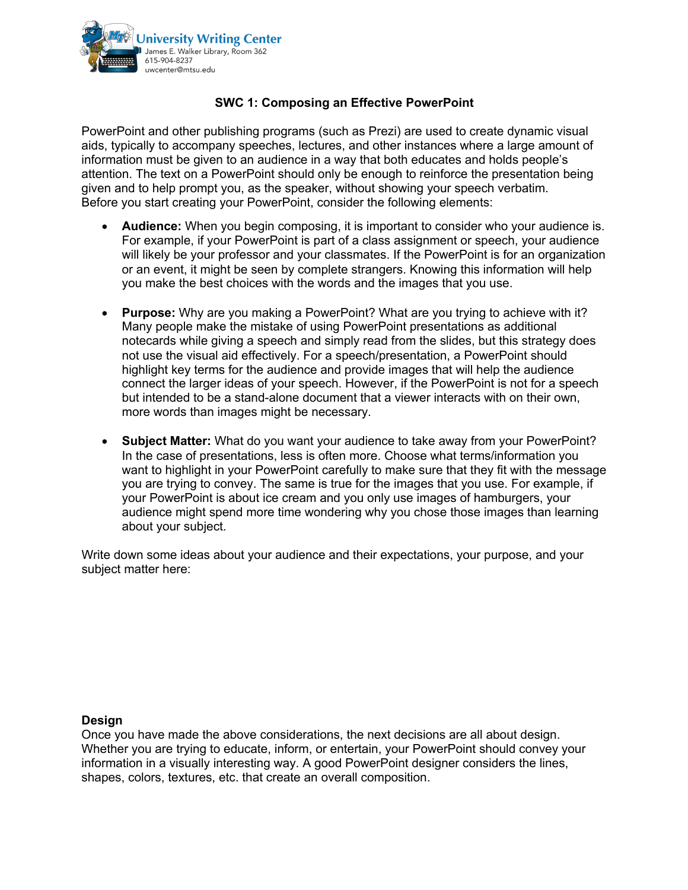

## **SWC 1: Composing an Effective PowerPoint**

PowerPoint and other publishing programs (such as Prezi) are used to create dynamic visual aids, typically to accompany speeches, lectures, and other instances where a large amount of information must be given to an audience in a way that both educates and holds people's attention. The text on a PowerPoint should only be enough to reinforce the presentation being given and to help prompt you, as the speaker, without showing your speech verbatim. Before you start creating your PowerPoint, consider the following elements:

- **Audience:** When you begin composing, it is important to consider who your audience is. For example, if your PowerPoint is part of a class assignment or speech, your audience will likely be your professor and your classmates. If the PowerPoint is for an organization or an event, it might be seen by complete strangers. Knowing this information will help you make the best choices with the words and the images that you use.
- **Purpose:** Why are you making a PowerPoint? What are you trying to achieve with it? Many people make the mistake of using PowerPoint presentations as additional notecards while giving a speech and simply read from the slides, but this strategy does not use the visual aid effectively. For a speech/presentation, a PowerPoint should highlight key terms for the audience and provide images that will help the audience connect the larger ideas of your speech. However, if the PowerPoint is not for a speech but intended to be a stand-alone document that a viewer interacts with on their own, more words than images might be necessary.
- **Subject Matter:** What do you want your audience to take away from your PowerPoint? In the case of presentations, less is often more. Choose what terms/information you want to highlight in your PowerPoint carefully to make sure that they fit with the message you are trying to convey. The same is true for the images that you use. For example, if your PowerPoint is about ice cream and you only use images of hamburgers, your audience might spend more time wondering why you chose those images than learning about your subject.

Write down some ideas about your audience and their expectations, your purpose, and your subject matter here:

## **Design**

Once you have made the above considerations, the next decisions are all about design. Whether you are trying to educate, inform, or entertain, your PowerPoint should convey your information in a visually interesting way. A good PowerPoint designer considers the lines, shapes, colors, textures, etc. that create an overall composition.